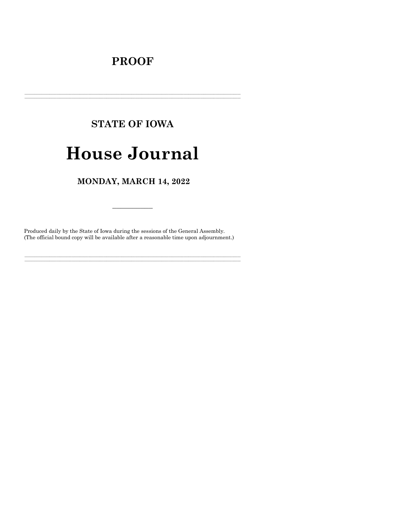## **PROOF**

# **STATE OF IOWA**

## **House Journal**

## MONDAY, MARCH 14, 2022

Produced daily by the State of Iowa during the sessions of the General Assembly. (The official bound copy will be available after a reasonable time upon adjournment.)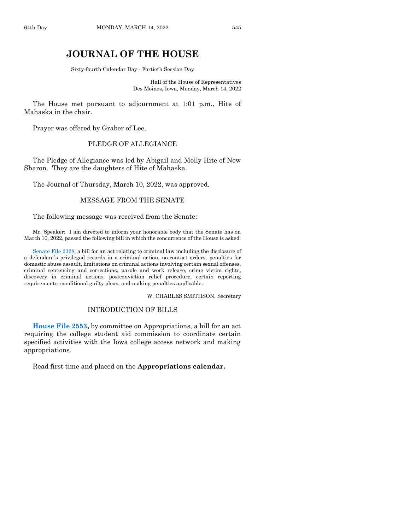### **JOURNAL OF THE HOUSE**

Sixty-fourth Calendar Day - Fortieth Session Day

Hall of the House of Representatives Des Moines, Iowa, Monday, March 14, 2022

The House met pursuant to adjournment at 1:01 p.m., Hite of Mahaska in the chair.

Prayer was offered by Graber of Lee.

#### PLEDGE OF ALLEGIANCE

The Pledge of Allegiance was led by Abigail and Molly Hite of New Sharon. They are the daughters of Hite of Mahaska.

The Journal of Thursday, March 10, 2022, was approved.

#### MESSAGE FROM THE SENATE

The following message was received from the Senate:

Mr. Speaker: I am directed to inform your honorable body that the Senate has on March 10, 2022, passed the following bill in which the concurrence of the House is asked:

[Senate File 2328,](https://www.legis.iowa.gov/legislation/BillBook?ga=89&ba=SF2328) a bill for an act relating to criminal law including the disclosure of a defendant's privileged records in a criminal action, no-contact orders, penalties for domestic abuse assault, limitations on criminal actions involving certain sexual offenses, criminal sentencing and corrections, parole and work release, crime victim rights, discovery in criminal actions, postconviction relief procedure, certain reporting requirements, conditional guilty pleas, and making penalties applicable.

#### W. CHARLES SMITHSON, Secretary

#### INTRODUCTION OF BILLS

**[House File 2553,](https://www.legis.iowa.gov/legislation/BillBook?ga=89&ba=HF2553)** by committee on Appropriations, a bill for an act requiring the college student aid commission to coordinate certain specified activities with the Iowa college access network and making appropriations.

Read first time and placed on the **Appropriations calendar.**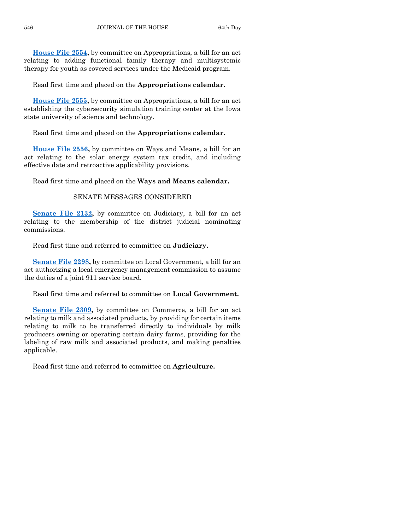**[House File 2554,](https://www.legis.iowa.gov/legislation/BillBook?ga=89&ba=HF2554)** by committee on Appropriations, a bill for an act relating to adding functional family therapy and multisystemic therapy for youth as covered services under the Medicaid program.

Read first time and placed on the **Appropriations calendar.**

**[House File 2555,](https://www.legis.iowa.gov/legislation/BillBook?ga=89&ba=HF2555)** by committee on Appropriations, a bill for an act establishing the cybersecurity simulation training center at the Iowa state university of science and technology.

Read first time and placed on the **Appropriations calendar.**

**[House File 2556,](https://www.legis.iowa.gov/legislation/BillBook?ga=89&ba=HF2556)** by committee on Ways and Means, a bill for an act relating to the solar energy system tax credit, and including effective date and retroactive applicability provisions.

Read first time and placed on the **Ways and Means calendar.**

#### SENATE MESSAGES CONSIDERED

**[Senate File 2132,](https://www.legis.iowa.gov/legislation/BillBook?ga=89&ba=SF2132)** by committee on Judiciary, a bill for an act relating to the membership of the district judicial nominating commissions.

Read first time and referred to committee on **Judiciary.**

**[Senate File 2298,](https://www.legis.iowa.gov/legislation/BillBook?ga=89&ba=SF2298)** by committee on Local Government, a bill for an act authorizing a local emergency management commission to assume the duties of a joint 911 service board.

Read first time and referred to committee on **Local Government.**

**[Senate File 2309,](https://www.legis.iowa.gov/legislation/BillBook?ga=89&ba=SF2309)** by committee on Commerce, a bill for an act relating to milk and associated products, by providing for certain items relating to milk to be transferred directly to individuals by milk producers owning or operating certain dairy farms, providing for the labeling of raw milk and associated products, and making penalties applicable.

Read first time and referred to committee on **Agriculture.**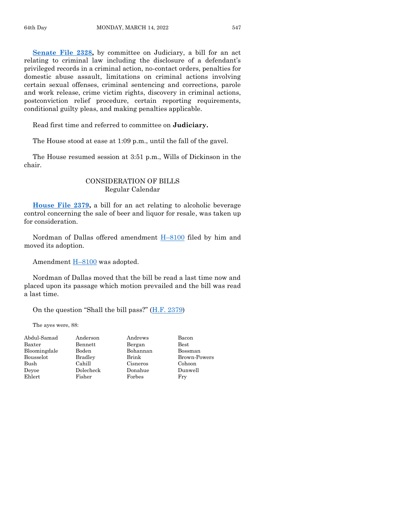**[Senate File 2328,](https://www.legis.iowa.gov/legislation/BillBook?ga=89&ba=SF2328)** by committee on Judiciary, a bill for an act relating to criminal law including the disclosure of a defendant's privileged records in a criminal action, no-contact orders, penalties for domestic abuse assault, limitations on criminal actions involving certain sexual offenses, criminal sentencing and corrections, parole and work release, crime victim rights, discovery in criminal actions, postconviction relief procedure, certain reporting requirements, conditional guilty pleas, and making penalties applicable.

Read first time and referred to committee on **Judiciary.**

The House stood at ease at 1:09 p.m., until the fall of the gavel.

The House resumed session at 3:51 p.m., Wills of Dickinson in the chair.

#### CONSIDERATION OF BILLS Regular Calendar

**[House File 2379,](https://www.legis.iowa.gov/legislation/BillBook?ga=89&ba=HF2379)** a bill for an act relating to alcoholic beverage control concerning the sale of beer and liquor for resale, was taken up for consideration.

Nordman of Dallas offered amendment H–[8100](https://www.legis.iowa.gov/legislation/BillBook?ga=89&ba=H8100) filed by him and moved its adoption.

Amendment  $H-8100$  $H-8100$  was adopted.

Nordman of Dallas moved that the bill be read a last time now and placed upon its passage which motion prevailed and the bill was read a last time.

On the question "Shall the bill pass?" [\(H.F. 2379\)](https://www.legis.iowa.gov/legislation/BillBook?ga=89&ba=HF2379)

The ayes were, 88:

| Abdul-Samad  | Anderson       | Andrews  | Bacon        |
|--------------|----------------|----------|--------------|
| Baxter       | Bennett        | Bergan   | <b>Best</b>  |
| Bloomingdale | Boden          | Bohannan | Bossman      |
| Bousselot    | <b>Bradley</b> | Brink    | Brown-Powers |
| Bush         | Cahill         | Cisneros | Cohoon       |
| Devoe        | Dolecheck      | Donahue  | Dunwell      |
| Ehlert       | Fisher         | Forbes   | Fry          |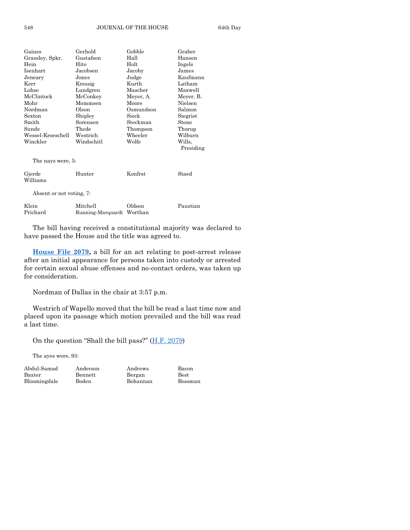| Gaines                   | Gerhold                   | Gobble    | Graber    |
|--------------------------|---------------------------|-----------|-----------|
| Grassley, Spkr.          | Gustafson                 | Hall      | Hansen    |
| Hein                     | Hite                      | Holt      | Ingels    |
| Isenhart                 | Jacobsen                  | Jacoby    | James     |
| Jeneary                  | Jones                     | Judge     | Kaufmann  |
| Kerr                     | Kressig                   | Kurth     | Latham    |
| Lohse                    | Lundgren                  | Mascher   | Maxwell   |
| McClintock               | McConkey                  | Meyer, A. | Meyer, B. |
| Mohr                     | Mommsen                   | Moore     | Nielsen   |
| Nordman                  | Olson                     | Osmundson | Salmon    |
| Sexton                   | Shipley                   | Sieck     | Siegrist  |
| Smith                    | Sorensen                  | Steckman  | Stone     |
| Sunde                    | Thede                     | Thompson  | Thorup    |
| Wessel-Kroeschell        | Westrich                  | Wheeler   | Wilburn   |
| Winckler                 | Windschitl                | Wolfe     | Wills,    |
|                          |                           |           | Presiding |
|                          |                           |           |           |
| The nays were, 5:        |                           |           |           |
|                          |                           |           |           |
| Gjerde                   | Hunter                    | Konfrst   | Staed     |
| Williams                 |                           |           |           |
|                          |                           |           |           |
| Absent or not voting, 7: |                           |           |           |
| Klein                    | Mitchell                  | Oldson    | Paustian  |
| Prichard                 | Running-Marquardt Worthan |           |           |
|                          |                           |           |           |

The bill having received a constitutional majority was declared to have passed the House and the title was agreed to.

**[House File 2079,](https://www.legis.iowa.gov/legislation/BillBook?ga=89&ba=HF2079)** a bill for an act relating to post-arrest release after an initial appearance for persons taken into custody or arrested for certain sexual abuse offenses and no-contact orders, was taken up for consideration.

Nordman of Dallas in the chair at 3:57 p.m.

Westrich of Wapello moved that the bill be read a last time now and placed upon its passage which motion prevailed and the bill was read a last time.

On the question "Shall the bill pass?"  $(H.F. 2079)$ 

The ayes were, 93:

Baxter Bennett Bergan Best Bloomingdale Boden Bohannan Bossman

Abdul-Samad Anderson Andrews Bacon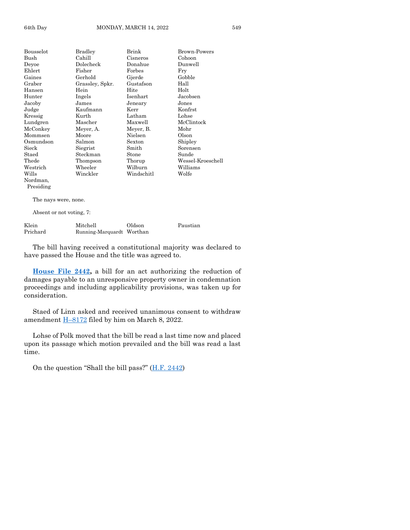| Bousselot       | Bradley         | Brink      | <b>Brown-Powers</b> |
|-----------------|-----------------|------------|---------------------|
| Bush            | Cahill          | Cisneros   | Cohoon              |
| Deyoe           | Dolecheck       | Donahue    | Dunwell             |
| Ehlert          | Fisher          | Forbes     | Fry                 |
| Gaines          | Gerhold         | Gjerde     | Gobble              |
| Graber          | Grassley, Spkr. | Gustafson  | Hall                |
| Hansen          | Hein            | Hite       | Holt                |
| Hunter          | Ingels          | Isenhart   | Jacobsen            |
| Jacoby          | James           | Jeneary    | Jones               |
| Judge           | Kaufmann        | Kerr       | Konfrst             |
| Kressig         | Kurth           | Latham     | Lohse               |
| Lundgren        | Mascher         | Maxwell    | McClintock          |
| McConkey        | Meyer, A.       | Meyer, B.  | Mohr                |
| Mommsen         | Moore           | Nielsen    | Olson               |
| Osmundson       | Salmon          | Sexton     | Shipley             |
| $_{\rm{Sieck}}$ | Siegrist        | Smith      | Sorensen            |
| Staed           | Steckman        | Stone      | Sunde               |
| $\rm The de$    | Thompson        | Thorup     | Wessel-Kroeschell   |
| Westrich        | Wheeler         | Wilburn    | Williams            |
| Wills           | Winckler        | Windschitl | Wolfe               |
| Nordman.        |                 |            |                     |
| Presiding       |                 |            |                     |
|                 |                 |            |                     |

The nays were, none.

Absent or not voting, 7:

| Klein    | Mitchell                  | Oldson | Paustian |
|----------|---------------------------|--------|----------|
| Prichard | Running-Marquardt Worthan |        |          |

The bill having received a constitutional majority was declared to have passed the House and the title was agreed to.

**[House File 2442,](https://www.legis.iowa.gov/legislation/BillBook?ga=89&ba=HF2442)** a bill for an act authorizing the reduction of damages payable to an unresponsive property owner in condemnation proceedings and including applicability provisions, was taken up for consideration.

Staed of Linn asked and received unanimous consent to withdraw amendment H–[8172](https://www.legis.iowa.gov/legislation/BillBook?ga=89&ba=H8172) filed by him on March 8, 2022.

Lohse of Polk moved that the bill be read a last time now and placed upon its passage which motion prevailed and the bill was read a last time.

On the question "Shall the bill pass?"  $(H.F. 2442)$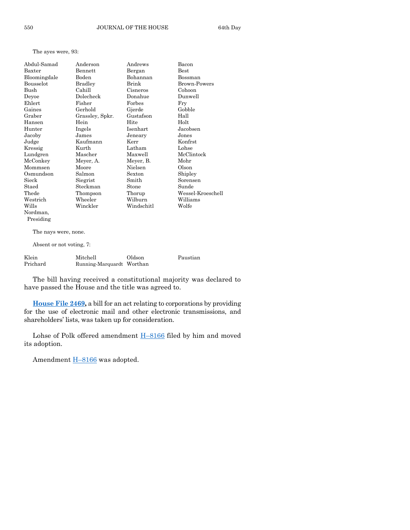The ayes were, 93:

| Abdul-Samad  | Anderson        | Andrews    | Bacon               |
|--------------|-----------------|------------|---------------------|
| Baxter       | Bennett         | Bergan     | $_{\rm Best}$       |
| Bloomingdale | Boden           | Bohannan   | Bossman             |
| Bousselot    | <b>Bradley</b>  | Brink      | <b>Brown-Powers</b> |
| Bush         | Cahill          | Cisneros   | Cohoon              |
| Deyoe        | Dolecheck       | Donahue    | Dunwell             |
| Ehlert       | Fisher          | Forbes     | Fry                 |
| Gaines       | Gerhold         | Gjerde     | Gobble              |
| Graber       | Grassley, Spkr. | Gustafson  | Hall                |
| Hansen       | Hein            | Hite       | Holt                |
| Hunter       | Ingels          | Isenhart   | Jacobsen            |
| Jacoby       | James           | Jeneary    | Jones               |
| Judge        | Kaufmann        | Kerr       | Konfrst             |
| Kressig      | Kurth           | Latham     | Lohse               |
| Lundgren     | Mascher         | Maxwell    | McClintock          |
| McConkey     | Meyer, A.       | Meyer, B.  | Mohr                |
| Mommsen      | Moore           | Nielsen    | Olson               |
| Osmundson    | Salmon          | Sexton     | Shipley             |
| Sieck        | Siegrist        | Smith      | Sorensen            |
| Staed        | Steckman        | Stone      | Sunde               |
| Thede        | Thompson        | Thorup     | Wessel-Kroeschell   |
| Westrich     | Wheeler         | Wilburn    | Williams            |
| Wills        | Winckler        | Windschitl | Wolfe               |
| Nordman,     |                 |            |                     |

Presiding

The nays were, none.

Absent or not voting, 7:

| Klein    | Mitchell                  | Oldson | Paustian |
|----------|---------------------------|--------|----------|
| Prichard | Running-Marquardt Worthan |        |          |

The bill having received a constitutional majority was declared to have passed the House and the title was agreed to.

**[House File 2469,](https://www.legis.iowa.gov/legislation/BillBook?ga=89&ba=HF2469)** a bill for an act relating to corporations by providing for the use of electronic mail and other electronic transmissions, and shareholders' lists, was taken up for consideration.

Lohse of Polk offered amendment H–[8166](https://www.legis.iowa.gov/legislation/BillBook?ga=89&ba=H8166) filed by him and moved its adoption.

Amendment **H-[8166](https://www.legis.iowa.gov/legislation/BillBook?ga=89&ba=H8166)** was adopted.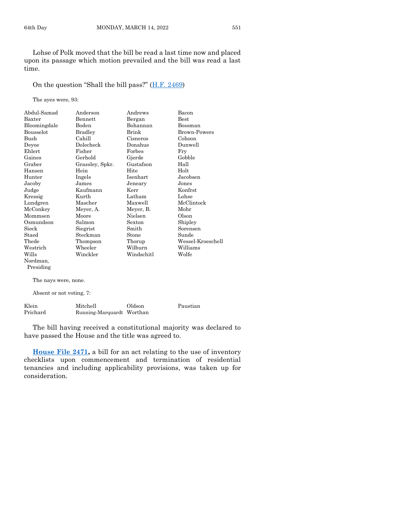Lohse of Polk moved that the bill be read a last time now and placed upon its passage which motion prevailed and the bill was read a last time.

On the question "Shall the bill pass?" [\(H.F. 2469\)](https://www.legis.iowa.gov/legislation/BillBook?ga=89&ba=HF2469)

The ayes were, 93:

| Abdul-Samad          | Anderson        | Andrews    | Bacon             |
|----------------------|-----------------|------------|-------------------|
| Baxter               | Bennett         | Bergan     | Best              |
| Bloomingdale         | Boden           | Bohannan   | Bossman           |
| <b>Bousselot</b>     | Bradley         | Brink      | Brown-Powers      |
| Bush                 | Cahill          | Cisneros   | Cohoon            |
| Deyoe                | Dolecheck       | Donahue    | Dunwell           |
| Ehlert               | Fisher          | Forbes     | Fry               |
| Gaines               | Gerhold         | Gjerde     | Gobble            |
| Graber               | Grassley, Spkr. | Gustafson  | Hall              |
| Hansen               | Hein            | Hite       | Holt              |
| Hunter               | Ingels          | Isenhart   | Jacobsen          |
| Jacoby               | James           | Jeneary    | Jones             |
| Judge                | Kaufmann        | Kerr       | Konfrst           |
| Kressig              | Kurth           | Latham     | Lohse             |
| Lundgren             | Mascher         | Maxwell    | McClintock        |
| McConkey             | Meyer, A.       | Meyer, B.  | Mohr              |
| Mommsen              | Moore           | Nielsen    | Olson             |
| Osmundson            | Salmon          | Sexton     | Shipley           |
| Sieck                | Siegrist        | Smith      | Sorensen          |
| Staed                | Steckman        | Stone      | Sunde             |
| Thede                | Thompson        | Thorup     | Wessel-Kroeschell |
| Westrich             | Wheeler         | Wilburn    | Williams          |
| Wills                | Winckler        | Windschitl | Wolfe             |
| Nordman,             |                 |            |                   |
| Presiding            |                 |            |                   |
| The nays were, none. |                 |            |                   |

Absent or not voting, 7:

| Klein    | Mitchell                  | Oldson | Paustian |
|----------|---------------------------|--------|----------|
| Prichard | Running-Marquardt Worthan |        |          |

The bill having received a constitutional majority was declared to have passed the House and the title was agreed to.

**[House File 2471,](https://www.legis.iowa.gov/legislation/BillBook?ga=89&ba=HF2471)** a bill for an act relating to the use of inventory checklists upon commencement and termination of residential tenancies and including applicability provisions, was taken up for consideration.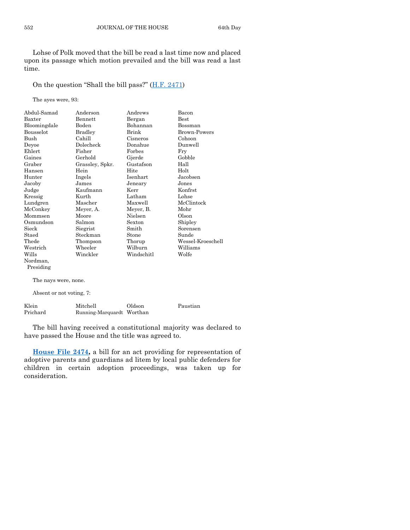Lohse of Polk moved that the bill be read a last time now and placed upon its passage which motion prevailed and the bill was read a last time.

On the question "Shall the bill pass?" [\(H.F. 2471\)](https://www.legis.iowa.gov/legislation/BillBook?ga=89&ba=HF2471)

The ayes were, 93:

| Abdul-Samad           | Anderson        | Andrews    | Bacon               |
|-----------------------|-----------------|------------|---------------------|
| Baxter                | Bennett         | Bergan     | Best                |
| Bloomingdale          | Boden           | Bohannan   | Bossman             |
| Bousselot             | Bradley         | Brink      | <b>Brown-Powers</b> |
| Bush                  | Cahill          | Cisneros   | Cohoon              |
| Deyoe                 | Dolecheck       | Donahue    | Dunwell             |
| Ehlert                | Fisher          | Forbes     | Fry                 |
| Gaines                | Gerhold         | Gjerde     | Gobble              |
| Graber                | Grassley, Spkr. | Gustafson  | Hall                |
| Hansen                | Hein            | Hite       | Holt                |
| Hunter                | Ingels          | Isenhart   | Jacobsen            |
| Jacoby                | James           | Jeneary    | Jones               |
| Judge                 | Kaufmann        | Kerr       | <b>Konfrst</b>      |
| Kressig               | Kurth           | Latham     | Lohse               |
| Lundgren              | Mascher         | Maxwell    | McClintock          |
| McConkey              | Meyer, A.       | Meyer, B.  | Mohr                |
| Mommsen               | Moore           | Nielsen    | Olson               |
| Osmundson             | Salmon          | Sexton     | Shipley             |
| Sieck                 | Siegrist        | Smith      | Sorensen            |
| Staed                 | Steckman        | Stone      | Sunde               |
| Thede                 | Thompson        | Thorup     | Wessel-Kroeschell   |
| Westrich              | Wheeler         | Wilburn    | Williams            |
| Wills                 | Winckler        | Windschitl | Wolfe               |
| Nordman,<br>Presiding |                 |            |                     |
| The nays were, none.  |                 |            |                     |

Absent or not voting, 7:

| Klein    | Mitchell                  | Oldson | Paustian |
|----------|---------------------------|--------|----------|
| Prichard | Running-Marquardt Worthan |        |          |

The bill having received a constitutional majority was declared to have passed the House and the title was agreed to.

**[House File 2474,](https://www.legis.iowa.gov/legislation/BillBook?ga=89&ba=HF2474)** a bill for an act providing for representation of adoptive parents and guardians ad litem by local public defenders for children in certain adoption proceedings, was taken up for consideration.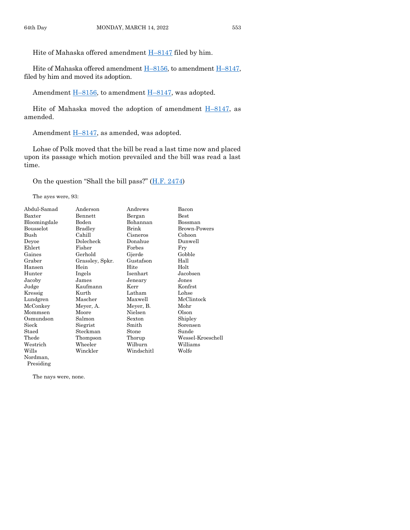Hite of Mahaska offered amendment  $H-8147$  $H-8147$  filed by him.

Hite of Mahaska offered amendment  $H-8156$ , to amendment  $H-8147$ , filed by him and moved its adoption.

Amendment H-[8156,](https://www.legis.iowa.gov/legislation/BillBook?ga=89&ba=H8156) to amendment H-[8147,](https://www.legis.iowa.gov/legislation/BillBook?ga=89&ba=H8147) was adopted.

Hite of Mahaska moved the adoption of amendment  $H-8147$ , as amended.

Amendment H-[8147,](https://www.legis.iowa.gov/legislation/BillBook?ga=89&ba=H8147) as amended, was adopted.

Lohse of Polk moved that the bill be read a last time now and placed upon its passage which motion prevailed and the bill was read a last time.

On the question "Shall the bill pass?" [\(H.F. 2474\)](https://www.legis.iowa.gov/legislation/BillBook?ga=89&ba=HF2474)

The ayes were, 93:

| Abdul-Samad           | Anderson        | Andrews    | Bacon               |
|-----------------------|-----------------|------------|---------------------|
| Baxter                | Bennett         | Bergan     | $_{\rm Best}$       |
| Bloomingdale          | Boden           | Bohannan   | Bossman             |
| Bousselot             | <b>Bradley</b>  | Brink      | <b>Brown-Powers</b> |
| Bush                  | Cahill          | Cisneros   | Cohoon              |
| Deyoe                 | Dolecheck       | Donahue    | Dunwell             |
| Ehlert                | Fisher          | Forbes     | Fry                 |
| Gaines                | Gerhold         | Gjerde     | Gobble              |
| Graber                | Grassley, Spkr. | Gustafson  | Hall                |
| Hansen                | Hein            | Hite       | Holt                |
| Hunter                | Ingels          | Isenhart   | Jacobsen            |
| Jacoby                | James           | Jeneary    | Jones               |
| Judge                 | Kaufmann        | Kerr       | Konfrst             |
| Kressig               | Kurth           | Latham     | Lohse               |
| Lundgren              | Mascher         | Maxwell    | McClintock          |
| McConkey              | Meyer, A.       | Meyer, B.  | Mohr                |
| Mommsen               | Moore           | Nielsen    | Olson               |
| Osmundson             | Salmon          | Sexton     | Shipley             |
| Sieck                 | Siegrist        | Smith      | Sorensen            |
| Staed                 | Steckman        | Stone      | Sunde               |
| Thede                 | Thompson        | Thorup     | Wessel-Kroeschell   |
| Westrich              | Wheeler         | Wilburn    | Williams            |
| Wills                 | Winckler        | Windschitl | Wolfe               |
| Nordman,<br>Presiding |                 |            |                     |

The nays were, none.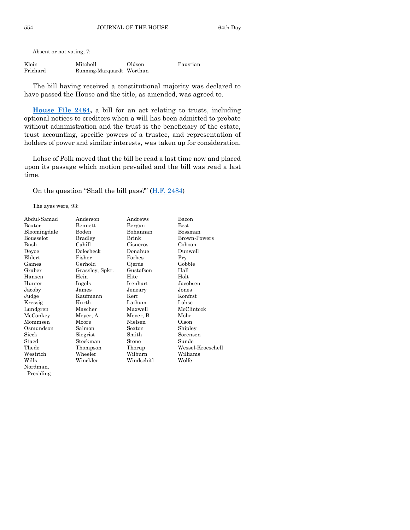| Klein    | Mitchell                  | Oldson | Paustian |
|----------|---------------------------|--------|----------|
| Prichard | Running-Marquardt Worthan |        |          |

The bill having received a constitutional majority was declared to have passed the House and the title, as amended, was agreed to.

**[House File 2484,](https://www.legis.iowa.gov/legislation/BillBook?ga=89&ba=HF2484)** a bill for an act relating to trusts, including optional notices to creditors when a will has been admitted to probate without administration and the trust is the beneficiary of the estate, trust accounting, specific powers of a trustee, and representation of holders of power and similar interests, was taken up for consideration.

Lohse of Polk moved that the bill be read a last time now and placed upon its passage which motion prevailed and the bill was read a last time.

On the question "Shall the bill pass?"  $(H.F. 2484)$ 

The ayes were, 93:

| Abdul-Samad  | Anderson        | Andrews    | Bacon             |
|--------------|-----------------|------------|-------------------|
| Baxter       | Bennett         | Bergan     | Best              |
| Bloomingdale | Boden           | Bohannan   | Bossman           |
| Bousselot    | <b>Bradley</b>  | Brink      | Brown-Powers      |
| Bush         | Cahill          | Cisneros   | Cohoon            |
| Deyoe        | Dolecheck       | Donahue    | Dunwell           |
| Ehlert       | Fisher          | Forbes     | Fry               |
| Gaines       | Gerhold         | Gjerde     | Gobble            |
| Graber       | Grassley, Spkr. | Gustafson  | Hall              |
| Hansen       | Hein            | Hite       | Holt              |
| Hunter       | Ingels          | Isenhart   | Jacobsen          |
| Jacoby       | James           | Jeneary    | Jones             |
| Judge        | Kaufmann        | Kerr       | Konfrst           |
| Kressig      | Kurth           | Latham     | Lohse             |
| Lundgren     | Mascher         | Maxwell    | McClintock        |
| McConkey     | Meyer, A.       | Meyer, B.  | Mohr              |
| Mommsen      | Moore           | Nielsen    | Olson             |
| Osmundson    | Salmon          | Sexton     | Shipley           |
| Sieck        | Siegrist        | Smith      | Sorensen          |
| Staed        | Steckman        | Stone      | Sunde             |
| Thede        | Thompson        | Thorup     | Wessel-Kroeschell |
| Westrich     | Wheeler         | Wilburn    | Williams          |
| Wills        | Winckler        | Windschitl | Wolfe             |
| Nordman,     |                 |            |                   |
| Presiding    |                 |            |                   |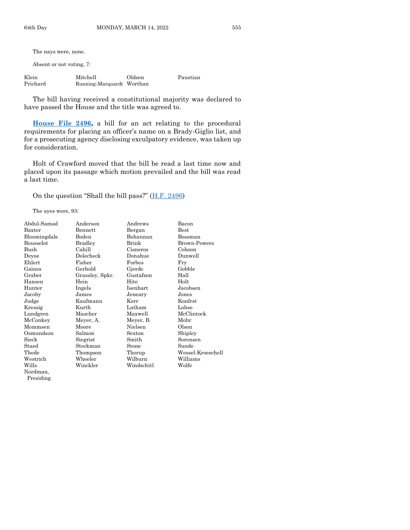The nays were, none.

Absent or not voting, 7:

| Klein    | Mitchell                  | Oldson | Paustian |
|----------|---------------------------|--------|----------|
| Prichard | Running-Marquardt Worthan |        |          |

The bill having received a constitutional majority was declared to have passed the House and the title was agreed to.

**[House File 2496,](https://www.legis.iowa.gov/legislation/BillBook?ga=89&ba=HF2496)** a bill for an act relating to the procedural requirements for placing an officer's name on a Brady-Giglio list, and for a prosecuting agency disclosing exculpatory evidence, was taken up for consideration.

Holt of Crawford moved that the bill be read a last time now and placed upon its passage which motion prevailed and the bill was read a last time.

On the question "Shall the bill pass?" [\(H.F. 2496\)](https://www.legis.iowa.gov/legislation/BillBook?ga=89&ba=HF2496)

The ayes were, 93:

Presiding

| Abdul-Samad  | Anderson        | Andrews    | Bacon             |
|--------------|-----------------|------------|-------------------|
| Baxter       | Bennett         | Bergan     | $_{\rm Best}$     |
| Bloomingdale | Boden           | Bohannan   | Bossman           |
| Bousselot    | Bradley         | Brink      | Brown-Powers      |
| Bush         | Cahill          | Cisneros   | Cohoon            |
| Deyoe        | Dolecheck       | Donahue    | Dunwell           |
| Ehlert       | Fisher          | Forbes     | Fry               |
| Gaines       | Gerhold         | Gjerde     | Gobble            |
| Graber       | Grassley, Spkr. | Gustafson  | Hall              |
| Hansen       | Hein            | Hite       | Holt              |
| Hunter       | Ingels          | Isenhart   | Jacobsen          |
| Jacoby       | James           | Jeneary    | Jones             |
| Judge        | Kaufmann        | Kerr       | Konfrst           |
| Kressig      | Kurth           | Latham     | Lohse             |
| Lundgren     | Mascher         | Maxwell    | McClintock        |
| McConkey     | Meyer, A.       | Meyer, B.  | Mohr              |
| Mommsen      | Moore           | Nielsen    | Olson             |
| Osmundson    | Salmon          | Sexton     | Shipley           |
| Sieck        | Siegrist        | Smith      | Sorensen          |
| Staed        | Steckman        | Stone      | Sunde             |
| Thede        | Thompson        | Thorup     | Wessel-Kroeschell |
| Westrich     | Wheeler         | Wilburn    | Williams          |
| Wills        | Winckler        | Windschitl | Wolfe             |
| Nordman.     |                 |            |                   |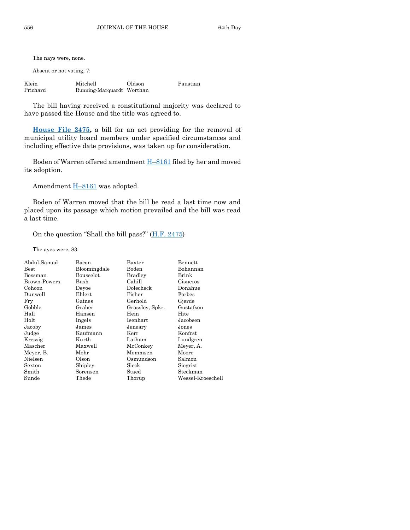The nays were, none.

Absent or not voting, 7:

| Klein    | Mitchell                  | Oldson | Paustian |
|----------|---------------------------|--------|----------|
| Prichard | Running-Marquardt Worthan |        |          |

The bill having received a constitutional majority was declared to have passed the House and the title was agreed to.

**[House File 2475,](https://www.legis.iowa.gov/legislation/BillBook?ga=89&ba=HF2475)** a bill for an act providing for the removal of municipal utility board members under specified circumstances and including effective date provisions, was taken up for consideration.

Boden of Warren offered amendment H–[8161](https://www.legis.iowa.gov/legislation/BillBook?ga=89&ba=H8161) filed by her and moved its adoption.

Amendment H–[8161](https://www.legis.iowa.gov/legislation/BillBook?ga=89&ba=H8161) was adopted.

Boden of Warren moved that the bill be read a last time now and placed upon its passage which motion prevailed and the bill was read a last time.

On the question "Shall the bill pass?" [\(H.F. 2475\)](https://www.legis.iowa.gov/legislation/BillBook?ga=89&ba=HF2475)

The ayes were, 83:

| Abdul-Samad         | Bacon        | Baxter          | Bennett           |
|---------------------|--------------|-----------------|-------------------|
| $_{\rm Best}$       | Bloomingdale | Boden           | Bohannan          |
| Bossman             | Bousselot    | <b>Bradley</b>  | Brink             |
| <b>Brown-Powers</b> | Bush         | Cahill          | Cisneros          |
| Cohoon              | Devoe        | Dolecheck       | Donahue           |
| Dunwell             | Ehlert       | Fisher          | Forbes            |
| Fry                 | Gaines       | Gerhold         | Gjerde            |
| Gobble              | Graber       | Grassley, Spkr. | Gustafson         |
| Hall                | Hansen       | Hein            | Hite              |
| Holt                | Ingels       | Isenhart        | Jacobsen          |
| Jacoby              | James        | Jeneary         | Jones             |
| Judge               | Kaufmann     | Kerr            | Konfrst           |
| Kressig             | Kurth        | Latham          | Lundgren          |
| Mascher             | Maxwell      | McConkey        | Meyer, A.         |
| Meyer, B.           | Mohr         | Mommsen         | Moore             |
| Nielsen             | Olson        | Osmundson       | Salmon            |
| Sexton              | Shipley      | Sieck           | Siegrist          |
| Smith               | Sorensen     | Staed           | Steckman          |
| Sunde               | Thede        | Thorup          | Wessel-Kroeschell |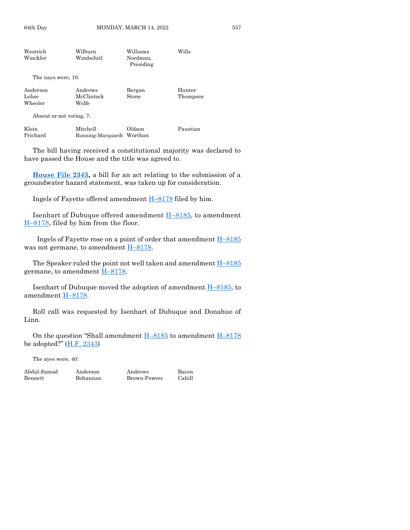| Westrich           | Wilburn                   | Williams              | Wills    |
|--------------------|---------------------------|-----------------------|----------|
| Winckler           | Windschitl                | Nordman.<br>Presiding |          |
| The nays were, 10: |                           |                       |          |
| Anderson           | Andrews                   | Bergan                | Hunter   |
| Lohse              | McClintock                | Stone                 | Thompson |
| Wheeler            | Wolfe                     |                       |          |
|                    | Absent or not voting, 7:  |                       |          |
| Klein              | Mitchell                  | Oldson                | Paustian |
| Prichard           | Running-Marquardt Worthan |                       |          |

The bill having received a constitutional majority was declared to have passed the House and the title was agreed to.

**[House File 2343,](https://www.legis.iowa.gov/legislation/BillBook?ga=89&ba=HF2343)** a bill for an act relating to the submission of a groundwater hazard statement, was taken up for consideration.

Ingels of Fayette offered amendment H–[8178](https://www.legis.iowa.gov/legislation/BillBook?ga=89&ba=H8178) filed by him.

Isenhart of Dubuque offered amendment  $H-8185$ , to amendment H–[8178,](https://www.legis.iowa.gov/legislation/BillBook?ga=89&ba=H8178) filed by him from the floor.

Ingels of Fayette rose on a point of order that amendment H–[8185](https://www.legis.iowa.gov/legislation/BillBook?ga=89&ba=H8185) was not germane, to amendment H–[8178.](https://www.legis.iowa.gov/legislation/BillBook?ga=89&ba=H8178)

The Speaker ruled the point not well taken and amendment  $H-8185$  $H-8185$ germane, to amendment  $H-8178$ .

Isenhart of Dubuque moved the adoption of amendment  $H-8185$ , to amendment H–[8178.](https://www.legis.iowa.gov/legislation/BillBook?ga=89&ba=H8178)

Roll call was requested by Isenhart of Dubuque and Donahue of Linn.

On the question "Shall amendment H–[8185](https://www.legis.iowa.gov/legislation/BillBook?ga=89&ba=H8185) to amendment H–[8178](https://www.legis.iowa.gov/legislation/BillBook?ga=89&ba=H8178) be adopted?" [\(H.F. 2343\)](https://www.legis.iowa.gov/legislation/BillBook?ga=89&ba=HF2343)

The ayes were, 40:

Bennett Bohannan Brown-Powers Cahill

Abdul-Samad Anderson Andrews Bacon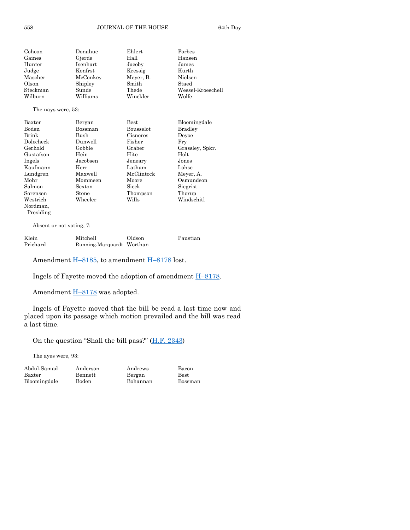| Cohoon             | Donahue  | Ehlert    | Forbes            |
|--------------------|----------|-----------|-------------------|
| Gaines             | Gjerde   | Hall      | Hansen            |
| Hunter             | Isenhart | Jacoby    | James             |
| Judge              | Konfrst  | Kressig   | Kurth             |
| Mascher            | McConkey | Meyer, B. | Nielsen           |
| Olson              | Shipley  | Smith     | Staed             |
| Steckman           | Sunde    | Thede     | Wessel-Kroeschell |
| Wilburn            | Williams | Winckler  | Wolfe             |
| The nays were, 53: |          |           |                   |

| Baxter    | Bergan   | <b>Best</b> | Bloomingdale    |
|-----------|----------|-------------|-----------------|
| Boden     | Bossman  | Bousselot   | Bradley         |
| Brink     | Bush     | Cisneros    | Devoe           |
| Dolecheck | Dunwell  | Fisher      | Frv             |
| Gerhold   | Gobble   | Graber      | Grassley, Spkr. |
| Gustafson | Hein     | Hite        | Holt            |
| Ingels    | Jacobsen | Jeneary     | Jones           |
| Kaufmann  | Kerr     | Latham      | Lohse           |
| Lundgren  | Maxwell  | McClintock  | Meyer, A.       |
| Mohr      | Mommsen  | Moore       | Osmundson       |
| Salmon    | Sexton   | Sieck       | Siegrist        |
| Sorensen  | Stone    | Thompson    | Thorup          |
| Westrich  | Wheeler  | Wills       | Windschitl      |
| Nordman,  |          |             |                 |
| Presiding |          |             |                 |

| Klein    | Mitchell                  | Oldson | Paustian |
|----------|---------------------------|--------|----------|
| Prichard | Running-Marquardt Worthan |        |          |

Amendment H-[8185,](https://www.legis.iowa.gov/legislation/BillBook?ga=89&ba=H8185) to amendment H-[8178](https://www.legis.iowa.gov/legislation/BillBook?ga=89&ba=H8178) lost.

Ingels of Fayette moved the adoption of amendment H–[8178.](https://www.legis.iowa.gov/legislation/BillBook?ga=89&ba=H8178)

Amendment  $H=8178$  $H=8178$  was adopted.

Ingels of Fayette moved that the bill be read a last time now and placed upon its passage which motion prevailed and the bill was read a last time.

On the question "Shall the bill pass?"  $(H.F. 2343)$ 

The ayes were, 93:

| Abdul-Samad  |  |
|--------------|--|
| Baxter       |  |
| Bloomingdale |  |

Anderson Andrews Bacon Bennett Bergan Best Boden Bohannan Bossman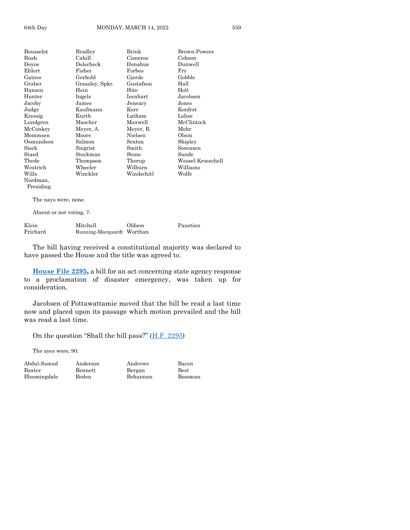| Bousselot       | Bradley         | Brink      | Brown-Powers      |
|-----------------|-----------------|------------|-------------------|
| Bush            | Cahill          | Cisneros   | Cohoon            |
| Deyoe           | Dolecheck       | Donahue    | Dunwell           |
| Ehlert          | Fisher          | Forbes     | Fry               |
| Gaines          | Gerhold         | Gjerde     | Gobble            |
| Graber          | Grassley, Spkr. | Gustafson  | Hall              |
| Hansen          | Hein            | Hite       | Holt              |
| Hunter          | Ingels          | Isenhart   | Jacobsen          |
| Jacoby          | James           | Jeneary    | Jones             |
| Judge           | Kaufmann        | Kerr       | Konfrst           |
| Kressig         | Kurth           | Latham     | Lohse             |
| Lundgren        | Mascher         | Maxwell    | McClintock        |
| McConkey        | Meyer, A.       | Meyer, B.  | Mohr              |
| Mommsen         | Moore           | Nielsen    | Olson             |
| Osmundson       | Salmon          | Sexton     | Shipley           |
| $_{\rm{Sieck}}$ | Siegrist        | Smith      | Sorensen          |
| Staed           | Steckman        | Stone      | Sunde             |
| Thede           | Thompson        | Thorup     | Wessel-Kroeschell |
| Westrich        | Wheeler         | Wilburn    | Williams          |
| Wills           | Winckler        | Windschitl | Wolfe             |
| Nordman.        |                 |            |                   |
| Presiding       |                 |            |                   |

The nays were, none.

Absent or not voting, 7:

| Klein    | Mitchell                  | Oldson | Paustian |
|----------|---------------------------|--------|----------|
| Prichard | Running-Marquardt Worthan |        |          |

The bill having received a constitutional majority was declared to have passed the House and the title was agreed to.

**[House File 2295,](https://www.legis.iowa.gov/legislation/BillBook?ga=89&ba=HF2295)** a bill for an act concerning state agency response to a proclamation of disaster emergency, was taken up for consideration.

Jacobsen of Pottawattamie moved that the bill be read a last time now and placed upon its passage which motion prevailed and the bill was read a last time.

On the question "Shall the bill pass?" [\(H.F. 2295\)](https://www.legis.iowa.gov/legislation/BillBook?ga=89&ba=HF2295)

The ayes were, 90:

Abdul-Samad Anderson Andrews Bacon Baxter Bennett Bergan Best Bloomingdale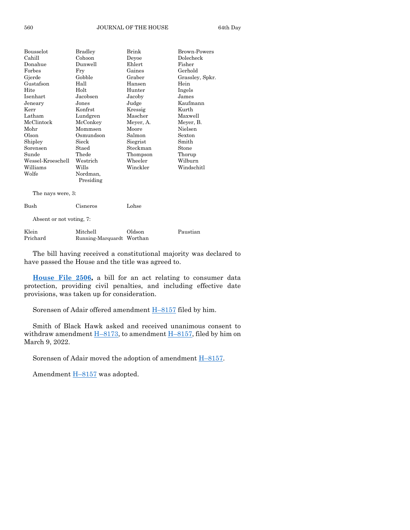| Bousselot         | <b>Bradley</b> | Brink     | Brown-Powers    |
|-------------------|----------------|-----------|-----------------|
| Cahill            | Cohoon         | Deyoe     | Dolecheck       |
| Donahue           | Dunwell        | Ehlert    | Fisher          |
| Forbes            | Fry            | Gaines    | Gerhold         |
| Gjerde            | Gobble         | Graber    | Grassley, Spkr. |
| Gustafson         | Hall           | Hansen    | Hein            |
| Hite              | Holt           | Hunter    | Ingels          |
| Isenhart          | Jacobsen       | Jacoby    | James           |
| Jeneary           | Jones          | Judge     | Kaufmann        |
| Kerr              | Konfrst        | Kressig   | Kurth           |
| Latham            | Lundgren       | Mascher   | Maxwell         |
| McClintock        | McConkey       | Meyer, A. | Meyer, B.       |
| Mohr              | Mommsen        | Moore     | Nielsen         |
| Olson             | Osmundson      | Salmon    | Sexton          |
| Shipley           | Sieck          | Siegrist  | Smith           |
| Sorensen          | Staed          | Steckman  | Stone           |
| Sunde             | Thede          | Thompson  | Thorup          |
| Wessel-Kroeschell | Westrich       | Wheeler   | Wilburn         |
| Williams          | Wills          | Winckler  | Windschitl      |
| Wolfe             | Nordman,       |           |                 |
|                   | Presiding      |           |                 |
| The nays were, 3: |                |           |                 |
| Bush              | Cisneros       | Lohse     |                 |
|                   |                |           |                 |

| Klein    | Mitchell                  | Oldson | Paustian |
|----------|---------------------------|--------|----------|
| Prichard | Running-Marquardt Worthan |        |          |

The bill having received a constitutional majority was declared to have passed the House and the title was agreed to.

**[House File 2506,](https://www.legis.iowa.gov/legislation/BillBook?ga=89&ba=HF2506)** a bill for an act relating to consumer data protection, providing civil penalties, and including effective date provisions, was taken up for consideration.

Sorensen of Adair offered amendment H–[8157](https://www.legis.iowa.gov/legislation/BillBook?ga=89&ba=H8157) filed by him.

Smith of Black Hawk asked and received unanimous consent to withdraw amendment  $\underline{H-8173}$ , to amendment  $\underline{H-8157}$ , filed by him on March 9, 2022.

Sorensen of Adair moved the adoption of amendment H–[8157.](https://www.legis.iowa.gov/legislation/BillBook?ga=89&ba=H8157)

Amendment H–[8157](https://www.legis.iowa.gov/legislation/BillBook?ga=89&ba=H8157) was adopted.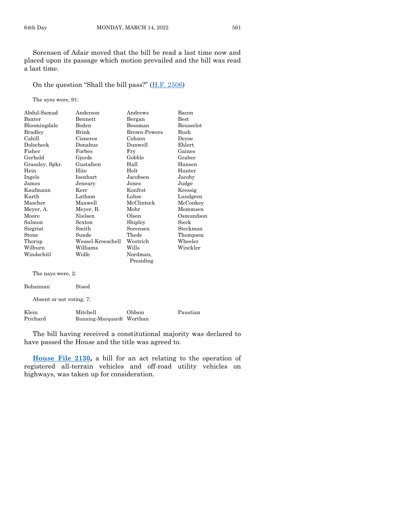Sorensen of Adair moved that the bill be read a last time now and placed upon its passage which motion prevailed and the bill was read a last time.

On the question "Shall the bill pass?" [\(H.F. 2506\)](https://www.legis.iowa.gov/legislation/BillBook?ga=89&ba=HF2506)

The ayes were, 91:

| Abdul-Samad       | Anderson          | Andrews             | Bacon            |
|-------------------|-------------------|---------------------|------------------|
| Baxter            | Bennett           | Bergan              | Best             |
| Bloomingdale      | Boden             | Bossman             | <b>Bousselot</b> |
| <b>Bradley</b>    | Brink             | <b>Brown-Powers</b> | Bush             |
| Cahill            | Cisneros          | Cohoon              | Deyoe            |
| Dolecheck         | Donahue           | Dunwell             | Ehlert           |
| Fisher            | Forbes            | Fry                 | Gaines           |
| Gerhold           | Gjerde            | Gobble              | Graber           |
| Grassley, Spkr.   | Gustafson         | Hall                | Hansen           |
| Hein              | Hite              | Holt                | Hunter           |
| Ingels            | Isenhart          | Jacobsen            | Jacoby           |
| James             | Jeneary           | Jones               | Judge            |
| Kaufmann          | Kerr              | Konfrst             | Kressig          |
| Kurth             | Latham            | Lohse               | Lundgren         |
| Mascher           | Maxwell           | McClintock          | McConkey         |
| Meyer, A.         | Meyer, B.         | Mohr                | Mommsen          |
| Moore             | Nielsen           | Olson               | Osmundson        |
| Salmon            | Sexton            | Shipley             | Sieck            |
| Siegrist          | Smith             | Sorensen            | Steckman         |
| Stone             | Sunde             | Thede               | Thompson         |
| Thorup            | Wessel-Kroeschell | Westrich            | Wheeler          |
| Wilburn           | Williams          | Wills               | Winckler         |
| Windschitl        | Wolfe             | Nordman,            |                  |
|                   |                   | Presiding           |                  |
| The nays were, 2: |                   |                     |                  |

| Bohannan                 | Staed                     |        |          |
|--------------------------|---------------------------|--------|----------|
| Absent or not voting, 7: |                           |        |          |
| Klein                    | Mitchell                  | Oldson | Paustian |
| Prichard                 | Running-Marquardt Worthan |        |          |

The bill having received a constitutional majority was declared to have passed the House and the title was agreed to.

**[House File 2130,](https://www.legis.iowa.gov/legislation/BillBook?ga=89&ba=HF2130)** a bill for an act relating to the operation of registered all-terrain vehicles and off-road utility vehicles on highways, was taken up for consideration.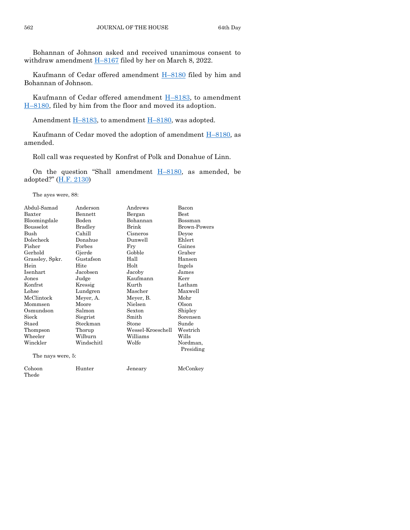Bohannan of Johnson asked and received unanimous consent to withdraw amendment  $H-8167$  $H-8167$  filed by her on March 8, 2022.

Kaufmann of Cedar offered amendment H–[8180](https://www.legis.iowa.gov/legislation/BillBook?ga=89&ba=H8180) filed by him and Bohannan of Johnson.

Kaufmann of Cedar offered amendment  $H-8183$ , to amendment H–[8180,](https://www.legis.iowa.gov/legislation/BillBook?ga=89&ba=H8180) filed by him from the floor and moved its adoption.

Amendment  $\underline{H-8183}$ , to amendment  $\underline{H-8180}$ , was adopted.

Kaufmann of Cedar moved the adoption of amendment  $H-8180$ , as amended.

Roll call was requested by Konfrst of Polk and Donahue of Linn.

On the question "Shall amendment  $H-8180$ , as amended, be adopted?" [\(H.F. 2130\)](https://www.legis.iowa.gov/legislation/BillBook?ga=89&ba=HF2130)

The ayes were, 88:

| Abdul-Samad       | Anderson       | Andrews           | Bacon               |
|-------------------|----------------|-------------------|---------------------|
| Baxter            | Bennett        | Bergan            | Best                |
| Bloomingdale      | Boden          | Bohannan          | Bossman             |
| Bousselot         | <b>Bradley</b> | Brink             | <b>Brown-Powers</b> |
| Bush              | Cahill         | Cisneros          | Deyoe               |
| Dolecheck         | Donahue        | Dunwell           | Ehlert              |
| Fisher            | Forbes         | Fry               | Gaines              |
| Gerhold           | Gjerde         | Gobble            | Graber              |
| Grassley, Spkr.   | Gustafson      | Hall              | Hansen              |
| Hein              | Hite           | Holt              | Ingels              |
| Isenhart          | Jacobsen       | Jacoby            | James               |
| Jones             | Judge          | Kaufmann          | Kerr                |
| Konfrst           | Kressig        | Kurth             | Latham              |
| Lohse             | Lundgren       | Mascher           | Maxwell             |
| McClintock        | Meyer, A.      | Meyer, B.         | Mohr                |
| Mommsen           | Moore          | Nielsen           | Olson               |
| Osmundson         | Salmon         | Sexton            | Shipley             |
| Sieck             | Siegrist       | Smith             | Sorensen            |
| Staed             | Steckman       | Stone             | Sunde               |
| Thompson          | Thorup         | Wessel-Kroeschell | Westrich            |
| Wheeler           | Wilburn        | Williams          | Wills               |
| Winckler          | Windschitl     | Wolfe             | Nordman,            |
|                   |                |                   | Presiding           |
| The nays were, 5: |                |                   |                     |
| Cohoon<br>Thede   | Hunter         | Jeneary           | McConkey            |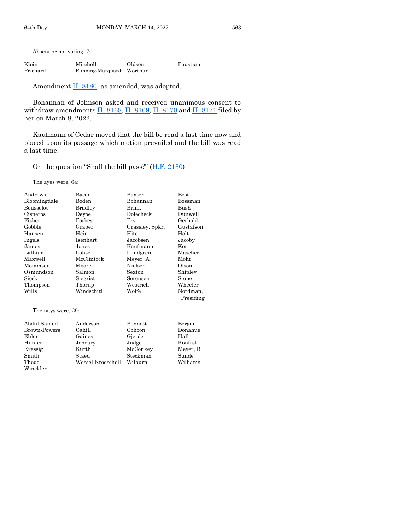| Klein    | Mitchell                  | Oldson | Paustian |
|----------|---------------------------|--------|----------|
| Prichard | Running-Marquardt Worthan |        |          |

Amendment  $\underline{H-8180}$ , as amended, was adopted.

Bohannan of Johnson asked and received unanimous consent to withdraw amendments  $\underline{H-8168}$ ,  $\underline{H-8169}$ ,  $\underline{H-8170}$  $\underline{H-8170}$  $\underline{H-8170}$  and  $\underline{H-8171}$  $\underline{H-8171}$  $\underline{H-8171}$  filed by her on March 8, 2022.

Kaufmann of Cedar moved that the bill be read a last time now and placed upon its passage which motion prevailed and the bill was read a last time.

On the question "Shall the bill pass?"  $(H.F. 2130)$ 

The ayes were, 64:

| Andrews                      | Bacon      | Baxter                    | $_{\rm Best}$ |
|------------------------------|------------|---------------------------|---------------|
| Bloomingdale                 | Boden      | Bohannan                  | Bossman       |
| Bousselot                    | Bradley    | Brink                     | Bush          |
| Cisneros                     | Devoe      | Dolecheck                 | Dunwell       |
| Fisher                       | Forbes     | Fry                       | Gerhold       |
| Gobble                       | Graber     | Grassley, Spkr.           | Gustafson     |
| Hansen                       | Hein       | Hite                      | Holt          |
| Ingels                       | Isenhart   | Jacobsen                  | Jacoby        |
| James                        | Jones      | Kaufmann                  | Kerr          |
| Latham                       | Lohse      | Lundgren                  | Mascher       |
| Maxwell                      | McClintock | Meyer, A.                 | Mohr          |
| Mommsen                      | Moore      | Nielsen                   | Olson         |
| Osmundson                    | Salmon     | Sexton                    | Shipley       |
| Sieck                        | Siegrist   | Sorensen                  | Stone         |
| Thompson                     | Thorup     | ${\rm Western}$           | Wheeler       |
| Wills                        | Windschitl | Wolfe                     | Nordman,      |
|                              |            |                           | Presiding     |
| The nays were, 29:           |            |                           |               |
| $\lambda$ 1110 1 $\lambda$ 1 |            | $\mathbf{D}$ $\mathbf{H}$ | $\mathbf{D}$  |

| Abdul-Samad  | Anderson          | Bennett  | Bergan    |
|--------------|-------------------|----------|-----------|
| Brown-Powers | Cahill            | Cohoon   | Donahue   |
| Ehlert       | Gaines            | Gjerde   | Hall      |
| Hunter       | Jeneary           | Judge    | Konfrst   |
| Kressig      | Kurth             | McConkey | Meyer, B. |
| Smith        | Staed             | Steckman | Sunde     |
| Thede        | Wessel-Kroeschell | Wilburn  | Williams  |
| Winckler     |                   |          |           |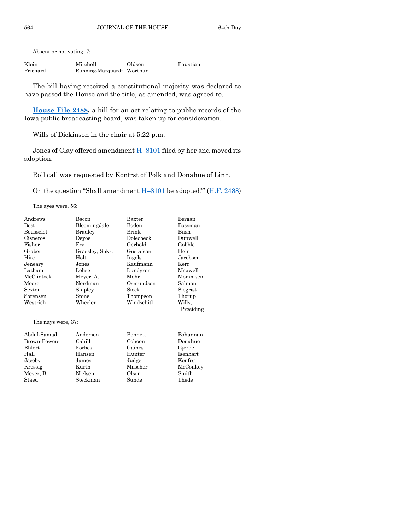| Klein    | Mitchell                  | Oldson | Paustian |
|----------|---------------------------|--------|----------|
| Prichard | Running-Marquardt Worthan |        |          |

The bill having received a constitutional majority was declared to have passed the House and the title, as amended, was agreed to.

**[House File 2488,](https://www.legis.iowa.gov/legislation/BillBook?ga=89&ba=HF2488)** a bill for an act relating to public records of the Iowa public broadcasting board, was taken up for consideration.

Wills of Dickinson in the chair at 5:22 p.m.

Jones of Clay offered amendment  $\underline{H-8101}$  $\underline{H-8101}$  $\underline{H-8101}$  filed by her and moved its adoption.

Roll call was requested by Konfrst of Polk and Donahue of Linn.

On the question "Shall amendment  $H-8101$  $H-8101$  be adopted?" ( $H.F. 2488$ )

The ayes were, 56:

| Andrews             | Bacon           | Baxter     | Bergan    |
|---------------------|-----------------|------------|-----------|
| <b>Best</b>         | Bloomingdale    | Boden      | Bossman   |
| <b>Bousselot</b>    | <b>Bradley</b>  | Brink      | Bush      |
| Cisneros            | Devoe           | Dolecheck  | Dunwell   |
| Fisher              | Fry             | Gerhold    | Gobble    |
| Graber              | Grassley, Spkr. | Gustafson  | Hein      |
| Hite                | Holt            | Ingels     | Jacobsen  |
| Jeneary             | Jones           | Kaufmann   | Kerr      |
| Latham              | Lohse           | Lundgren   | Maxwell   |
| McClintock          | Meyer, A.       | Mohr       | Mommsen   |
| Moore               | Nordman         | Osmundson  | Salmon    |
| Sexton              | Shipley         | Sieck      | Siegrist  |
| Sorensen            | Stone           | Thompson   | Thorup    |
| Westrich            | Wheeler         | Windschitl | Wills.    |
|                     |                 |            | Presiding |
| The nays were, 37:  |                 |            |           |
|                     |                 |            |           |
| Abdul-Samad         | Anderson        | Bennett    | Bohannan  |
| <b>Brown-Powers</b> | Cahill          | Cohoon     | Donahue   |
| Ehlert              | Forbes          | Gaines     | Gjerde    |
| Hall                | Hansen          | Hunter     | Isenhart  |
| Jacoby              | James           | Judge      | Konfrst   |
| Kressig             | Kurth           | Mascher    | McConkey  |
| Meyer, B.           | Nielsen         | Olson      | Smith     |
| Staed               | Steckman        | Sunde      | Thede     |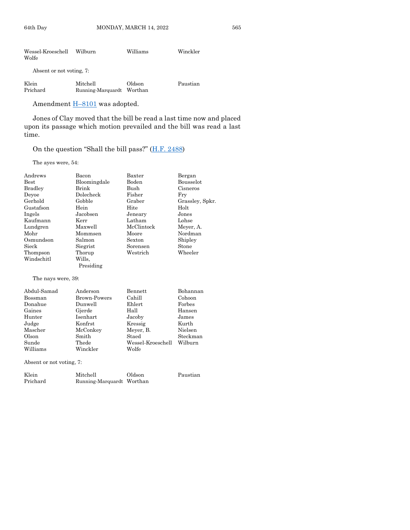| Wessel-Kroeschell<br>Wolfe | Wilburn                       | Williams          | Winckler |
|----------------------------|-------------------------------|-------------------|----------|
| Absent or not voting, 7:   |                               |                   |          |
| Klein<br>Prichard          | Mitchell<br>Running-Marquardt | Oldson<br>Worthan | Paustian |

Amendment **H**-[8101](https://www.legis.iowa.gov/legislation/BillBook?ga=89&ba=H8101) was adopted.

Jones of Clay moved that the bill be read a last time now and placed upon its passage which motion prevailed and the bill was read a last time.

#### On the question "Shall the bill pass?" [\(H.F. 2488\)](https://www.legis.iowa.gov/legislation/BillBook?ga=89&ba=HF2488)

The ayes were, 54:

| Andrews                                              | Bacon               | Baxter            | Bergan          |
|------------------------------------------------------|---------------------|-------------------|-----------------|
| <b>Best</b>                                          | Bloomingdale        | Boden             | Bousselot       |
| <b>Bradley</b>                                       | Brink               | Bush              | Cisneros        |
| Devoe                                                | Dolecheck           | Fisher            | Fry             |
| Gerhold                                              | Gobble              | Graber            | Grassley, Spkr. |
| Gustafson                                            | Hein                | Hite              | Holt            |
| Ingels                                               | Jacobsen            | Jeneary           | Jones           |
| Kaufmann                                             | Kerr                | Latham            | Lohse           |
| Lundgren                                             | Maxwell             | McClintock        | Meyer, A.       |
| Mohr                                                 | Mommsen             | Moore             | Nordman         |
| Osmundson                                            | Salmon              | Sexton            | Shipley         |
| Sieck                                                | Siegrist            | Sorensen          | Stone           |
| Thompson                                             | Thorup              | Westrich          | Wheeler         |
| Windschitl                                           | Wills.              |                   |                 |
|                                                      | Presiding           |                   |                 |
| The nays were, 39:                                   |                     |                   |                 |
| Abdul-Samad                                          | Anderson            | Bennett           | Bohannan        |
| Bossman                                              | <b>Brown-Powers</b> | Cahill            | Cohoon          |
| Donahue                                              | Dunwell             | Ehlert            | Forbes          |
| Gaines                                               | Gjerde              | Hall              | Hansen          |
| Hunter                                               | <b>Isenhart</b>     | Jacoby            | James           |
| Judge                                                | Konfrst             | Kressig           | Kurth           |
| Mascher                                              | McConkey            | Meyer, B.         | Nielsen         |
| Olson                                                | Smith               | Staed             | Steckman        |
| Sunde                                                | Thede               | Wessel-Kroeschell | Wilburn         |
| Williams                                             | Winckler            | Wolfe             |                 |
| $\cdot$ $\cdot$<br><b>Contract Contract Contract</b> |                     |                   |                 |

Absent or not voting, 7:

| Klein    | Mitchell                  | Oldson | Paustian |
|----------|---------------------------|--------|----------|
| Prichard | Running-Marquardt Worthan |        |          |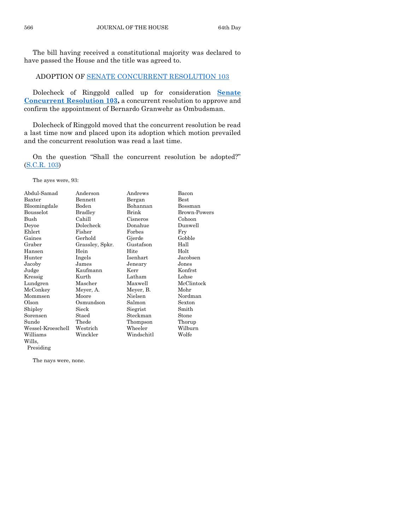The bill having received a constitutional majority was declared to have passed the House and the title was agreed to.

#### ADOPTION OF [SENATE CONCURRENT RESOLUTION 103](https://www.legis.iowa.gov/legislation/BillBook?ga=89&ba=SCR103)

Dolecheck of Ringgold called up for consideration **[Senate](https://www.legis.iowa.gov/legislation/BillBook?ga=89&ba=SCR103)  [Concurrent Resolution 103,](https://www.legis.iowa.gov/legislation/BillBook?ga=89&ba=SCR103)** a concurrent resolution to approve and confirm the appointment of Bernardo Granwehr as Ombudsman.

Dolecheck of Ringgold moved that the concurrent resolution be read a last time now and placed upon its adoption which motion prevailed and the concurrent resolution was read a last time.

On the question "Shall the concurrent resolution be adopted?" [\(S.C.R. 103\)](https://www.legis.iowa.gov/legislation/BillBook?ga=89&ba=SCR103)

The ayes were, 93:

| Abdul-Samad       | Anderson        | Andrews    | Bacon         |
|-------------------|-----------------|------------|---------------|
| Baxter            | Bennett         | Bergan     | $_{\rm Best}$ |
| Bloomingdale      | Boden           | Bohannan   | Bossman       |
| Bousselot         | <b>Bradley</b>  | Brink      | Brown-Powers  |
| Bush              | Cahill          | Cisneros   | Cohoon        |
| Deyoe             | Dolecheck       | Donahue    | Dunwell       |
| Ehlert            | Fisher          | Forbes     | Fry           |
| Gaines            | Gerhold         | Gjerde     | Gobble        |
| Graber            | Grassley, Spkr. | Gustafson  | Hall          |
| Hansen            | Hein            | Hite       | Holt          |
| Hunter            | Ingels          | Isenhart   | Jacobsen      |
| Jacoby            | James           | Jeneary    | Jones         |
| Judge             | Kaufmann        | Kerr       | Konfrst       |
| Kressig           | Kurth           | Latham     | Lohse         |
| Lundgren          | Mascher         | Maxwell    | McClintock    |
| McConkey          | Meyer, A.       | Meyer, B.  | Mohr          |
| Mommsen           | Moore           | Nielsen    | Nordman       |
| Olson             | Osmundson       | Salmon     | Sexton        |
| Shipley           | Sieck           | Siegrist   | Smith         |
| Sorensen          | Staed           | Steckman   | Stone         |
| Sunde             | Thede           | Thompson   | Thorup        |
| Wessel-Kroeschell | Westrich        | Wheeler    | Wilburn       |
| Williams          | Winckler        | Windschitl | Wolfe         |
| Wills.            |                 |            |               |
| Presiding         |                 |            |               |

The nays were, none.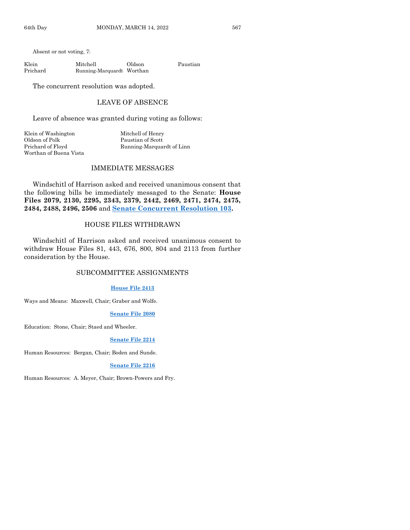Klein Mitchell Oldson Paustian Prichard Running-Marquardt Worthan

The concurrent resolution was adopted.

#### LEAVE OF ABSENCE

Leave of absence was granted during voting as follows:

Klein of Washington Mitchell of Henry Oldson of Polk Paustian of Scott Prichard of Floyd Running-Marquardt of Linn Worthan of Buena Vista

#### IMMEDIATE MESSAGES

Windschitl of Harrison asked and received unanimous consent that the following bills be immediately messaged to the Senate: **House Files 2079, 2130, 2295, 2343, 2379, 2442, 2469, 2471, 2474, 2475, 2484, 2488, 2496, 2506** and **[Senate Concurrent Resolution 103.](https://www.legis.iowa.gov/legislation/BillBook?ga=89&ba=SCR103)**

#### HOUSE FILES WITHDRAWN

Windschitl of Harrison asked and received unanimous consent to withdraw House Files 81, 443, 676, 800, 804 and 2113 from further consideration by the House.

#### SUBCOMMITTEE ASSIGNMENTS

#### **[House File 2413](https://www.legis.iowa.gov/legislation/BillBook?ga=89&ba=HF2413)**

Ways and Means: Maxwell, Chair; Graber and Wolfe.

#### **[Senate File 2080](https://www.legis.iowa.gov/legislation/BillBook?ga=89&ba=SF2080)**

Education: Stone, Chair; Staed and Wheeler.

#### **[Senate File 2214](https://www.legis.iowa.gov/legislation/BillBook?ga=89&ba=SF2214)**

Human Resources: Bergan, Chair; Boden and Sunde.

#### **[Senate File 2216](https://www.legis.iowa.gov/legislation/BillBook?ga=89&ba=SF2216)**

Human Resources: A. Meyer, Chair; Brown-Powers and Fry.